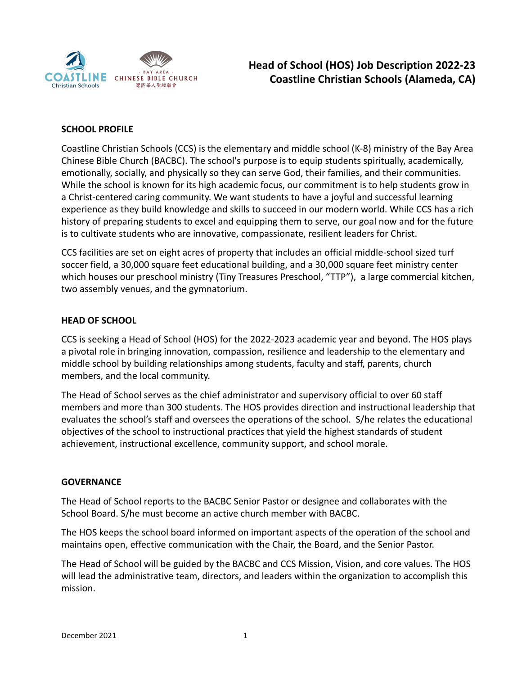

# **Head of School (HOS) Job Description 2022-23 Coastline Christian Schools (Alameda, CA)**

## **SCHOOL PROFILE**

Coastline Christian Schools (CCS) is the elementary and middle school (K-8) ministry of the Bay Area Chinese Bible Church (BACBC). The school's purpose is to equip students spiritually, academically, emotionally, socially, and physically so they can serve God, their families, and their communities. While the school is known for its high academic focus, our commitment is to help students grow in a Christ-centered caring community. We want students to have a joyful and successful learning experience as they build knowledge and skills to succeed in our modern world. While CCS has a rich history of preparing students to excel and equipping them to serve, our goal now and for the future is to cultivate students who are innovative, compassionate, resilient leaders for Christ.

CCS facilities are set on eight acres of property that includes an official middle-school sized turf soccer field, a 30,000 square feet educational building, and a 30,000 square feet ministry center which houses our preschool ministry (Tiny Treasures Preschool, "TTP"), a large commercial kitchen, two assembly venues, and the gymnatorium.

## **HEAD OF SCHOOL**

CCS is seeking a Head of School (HOS) for the 2022-2023 academic year and beyond. The HOS plays a pivotal role in bringing innovation, compassion, resilience and leadership to the elementary and middle school by building relationships among students, faculty and staff, parents, church members, and the local community.

The Head of School serves as the chief administrator and supervisory official to over 60 staff members and more than 300 students. The HOS provides direction and instructional leadership that evaluates the school's staff and oversees the operations of the school. S/he relates the educational objectives of the school to instructional practices that yield the highest standards of student achievement, instructional excellence, community support, and school morale.

#### **GOVERNANCE**

The Head of School reports to the BACBC Senior Pastor or designee and collaborates with the School Board. S/he must become an active church member with BACBC.

The HOS keeps the school board informed on important aspects of the operation of the school and maintains open, effective communication with the Chair, the Board, and the Senior Pastor.

The Head of School will be guided by the BACBC and CCS Mission, Vision, and core values. The HOS will lead the administrative team, directors, and leaders within the organization to accomplish this mission.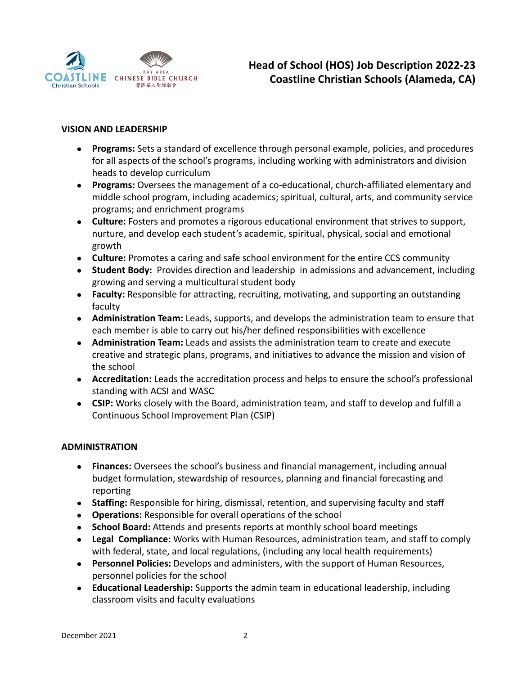

## **VISION AND LEADERSHIP**

- **Programs:** Sets a standard of excellence through personal example, policies, and procedures for all aspects of the school's programs, including working with administrators and division heads to develop curriculum
- **Programs:** Oversees the management of a co-educational, church-affiliated elementary and middle school program, including academics; spiritual, cultural, arts, and community service programs; and enrichment programs
- **Culture:** Fosters and promotes a rigorous educational environment that strives to support, nurture, and develop each student's academic, spiritual, physical, social and emotional growth
- **Culture:** Promotes a caring and safe school environment for the entire CCS community
- **Student Body:** Provides direction and leadership in admissions and advancement, including growing and serving a multicultural student body
- **Faculty:** Responsible for attracting, recruiting, motivating, and supporting an outstanding faculty
- **Administration Team:** Leads, supports, and develops the administration team to ensure that each member is able to carry out his/her defined responsibilities with excellence
- **Administration Team:** Leads and assists the administration team to create and execute creative and strategic plans, programs, and initiatives to advance the mission and vision of the school
- **Accreditation:** Leads the accreditation process and helps to ensure the school's professional standing with ACSI and WASC
- **CSIP:** Works closely with the Board, administration team, and staff to develop and fulfill a Continuous School Improvement Plan (CSIP)

#### **ADMINISTRATION**

- **Finances:** Oversees the school's business and financial management, including annual budget formulation, stewardship of resources, planning and financial forecasting and reporting
- **Staffing:** Responsible for hiring, dismissal, retention, and supervising faculty and staff
- **Operations:** Responsible for overall operations of the school
- **School Board:** Attends and presents reports at monthly school board meetings
- **Legal Compliance:** Works with Human Resources, administration team, and staff to comply with federal, state, and local regulations, (including any local health requirements)
- **Personnel Policies:** Develops and administers, with the support of Human Resources, personnel policies for the school
- **Educational Leadership:** Supports the admin team in educational leadership, including classroom visits and faculty evaluations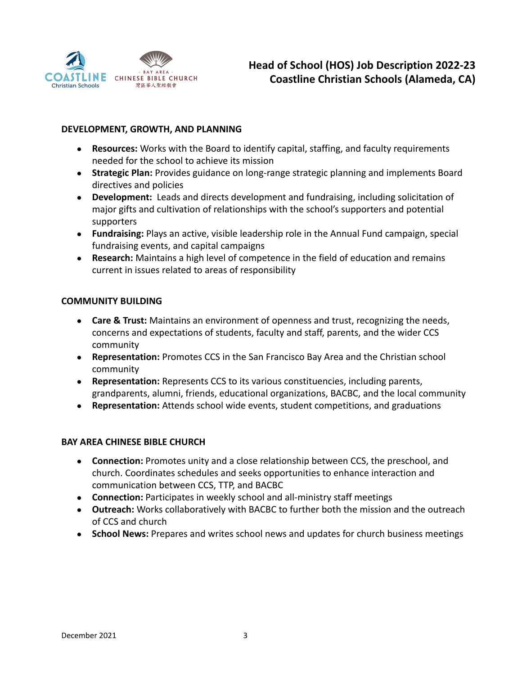

## **DEVELOPMENT, GROWTH, AND PLANNING**

- **Resources:** Works with the Board to identify capital, staffing, and faculty requirements needed for the school to achieve its mission
- **Strategic Plan:** Provides guidance on long-range strategic planning and implements Board directives and policies
- **Development:** Leads and directs development and fundraising, including solicitation of major gifts and cultivation of relationships with the school's supporters and potential supporters
- **Fundraising:** Plays an active, visible leadership role in the Annual Fund campaign, special fundraising events, and capital campaigns
- **Research:** Maintains a high level of competence in the field of education and remains current in issues related to areas of responsibility

#### **COMMUNITY BUILDING**

- **Care & Trust:** Maintains an environment of openness and trust, recognizing the needs, concerns and expectations of students, faculty and staff, parents, and the wider CCS community
- **Representation:** Promotes CCS in the San Francisco Bay Area and the Christian school community
- **Representation:** Represents CCS to its various constituencies, including parents, grandparents, alumni, friends, educational organizations, BACBC, and the local community
- **Representation:** Attends school wide events, student competitions, and graduations

#### **BAY AREA CHINESE BIBLE CHURCH**

- **Connection:** Promotes unity and a close relationship between CCS, the preschool, and church. Coordinates schedules and seeks opportunities to enhance interaction and communication between CCS, TTP, and BACBC
- **Connection:** Participates in weekly school and all-ministry staff meetings
- **Outreach:** Works collaboratively with BACBC to further both the mission and the outreach of CCS and church
- **School News:** Prepares and writes school news and updates for church business meetings